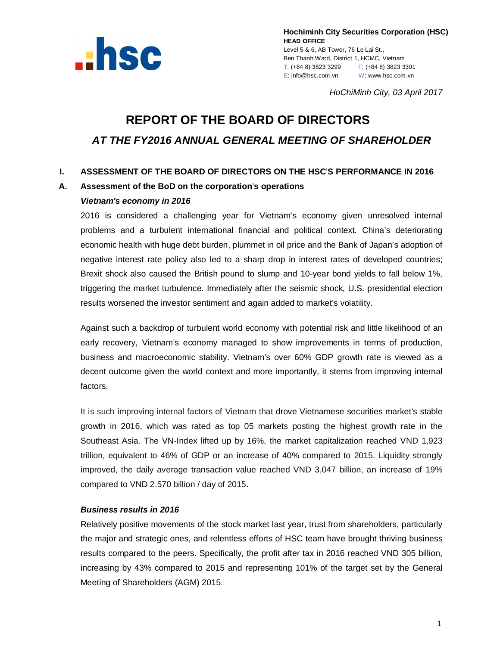

**Hochiminh City Securities Corporation (HSC) HEAD OFFICE** Level 5 & 6, AB Tower, 76 Le Lai St., Ben Thanh Ward, District 1, HCMC, Vietnam T: (+84 8) 3823 3299 F: (+84 8) 3823 3301 E: info@hsc.com.vn W: www.hsc.com.vn

*HoChiMinh City, 03 April 2017*

# **REPORT OF THE BOARD OF DIRECTORS** *AT THE FY2016 ANNUAL GENERAL MEETING OF SHAREHOLDER*

## **I. ASSESSMENT OF THE BOARD OF DIRECTORS ON THE HSC**'**S PERFORMANCE IN 2016**

## **A. Assessment of the BoD on the corporation**'**s operations**

#### *Vietnam's economy in 2016*

2016 is considered a challenging year for Vietnam's economy given unresolved internal problems and a turbulent international financial and political context. China's deteriorating economic health with huge debt burden, plummet in oil price and the Bank of Japan's adoption of negative interest rate policy also led to a sharp drop in interest rates of developed countries; Brexit shock also caused the British pound to slump and 10-year bond yields to fall below 1%, triggering the market turbulence. Immediately after the seismic shock, U.S. presidential election results worsened the investor sentiment and again added to market's volatility.

Against such a backdrop of turbulent world economy with potential risk and little likelihood of an early recovery, Vietnam's economy managed to show improvements in terms of production, business and macroeconomic stability. Vietnam's over 60% GDP growth rate is viewed as a decent outcome given the world context and more importantly, it stems from improving internal factors.

It is such improving internal factors of Vietnam that drove Vietnamese securities market's stable growth in 2016, which was rated as top 05 markets posting the highest growth rate in the Southeast Asia. The VN-Index lifted up by 16%, the market capitalization reached VND 1,923 trillion, equivalent to 46% of GDP or an increase of 40% compared to 2015. Liquidity strongly improved, the daily average transaction value reached VND 3,047 billion, an increase of 19% compared to VND 2.570 billion / day of 2015.

## *Business results in 2016*

Relatively positive movements of the stock market last year, trust from shareholders, particularly the major and strategic ones, and relentless efforts of HSC team have brought thriving business results compared to the peers. Specifically, the profit after tax in 2016 reached VND 305 billion, increasing by 43% compared to 2015 and representing 101% of the target set by the General Meeting of Shareholders (AGM) 2015.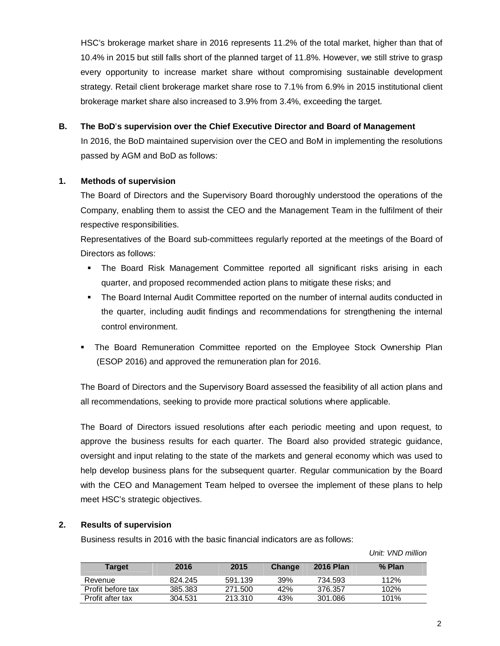HSC's brokerage market share in 2016 represents 11.2% of the total market, higher than that of 10.4% in 2015 but still falls short of the planned target of 11.8%. However, we still strive to grasp every opportunity to increase market share without compromising sustainable development strategy. Retail client brokerage market share rose to 7.1% from 6.9% in 2015 institutional client brokerage market share also increased to 3.9% from 3.4%, exceeding the target.

## **B. The BoD**'**s supervision over the Chief Executive Director and Board of Management**

In 2016, the BoD maintained supervision over the CEO and BoM in implementing the resolutions passed by AGM and BoD as follows:

## **1. Methods of supervision**

The Board of Directors and the Supervisory Board thoroughly understood the operations of the Company, enabling them to assist the CEO and the Management Team in the fulfilment of their respective responsibilities.

Representatives of the Board sub-committees regularly reported at the meetings of the Board of Directors as follows:

- The Board Risk Management Committee reported all significant risks arising in each quarter, and proposed recommended action plans to mitigate these risks; and
- The Board Internal Audit Committee reported on the number of internal audits conducted in the quarter, including audit findings and recommendations for strengthening the internal control environment.
- The Board Remuneration Committee reported on the Employee Stock Ownership Plan (ESOP 2016) and approved the remuneration plan for 2016.

The Board of Directors and the Supervisory Board assessed the feasibility of all action plans and all recommendations, seeking to provide more practical solutions where applicable.

The Board of Directors issued resolutions after each periodic meeting and upon request, to approve the business results for each quarter. The Board also provided strategic guidance, oversight and input relating to the state of the markets and general economy which was used to help develop business plans for the subsequent quarter. Regular communication by the Board with the CEO and Management Team helped to oversee the implement of these plans to help meet HSC's strategic objectives.

## **2. Results of supervision**

Business results in 2016 with the basic financial indicators are as follows:

 *Unit: VND million*

| <b>Target</b>     | 2016    | 2015    | Change | <b>2016 Plan</b> | % Plan |
|-------------------|---------|---------|--------|------------------|--------|
| Revenue           | 824.245 | 591.139 | 39%    | 734.593          | 112%   |
| Profit before tax | 385.383 | 271.500 | 42%    | 376.357          | 102%   |
| Profit after tax  | 304.531 | 213.310 | 43%    | 301.086          | 101%   |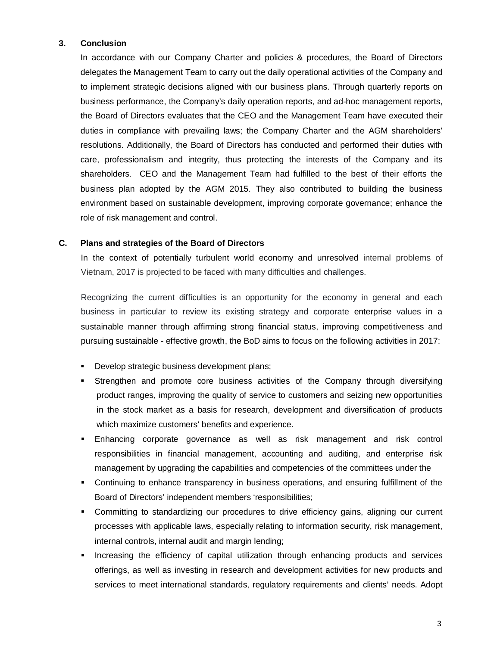#### **3. Conclusion**

In accordance with our Company Charter and policies & procedures, the Board of Directors delegates the Management Team to carry out the daily operational activities of the Company and to implement strategic decisions aligned with our business plans. Through quarterly reports on business performance, the Company's daily operation reports, and ad-hoc management reports, the Board of Directors evaluates that the CEO and the Management Team have executed their duties in compliance with prevailing laws; the Company Charter and the AGM shareholders' resolutions. Additionally, the Board of Directors has conducted and performed their duties with care, professionalism and integrity, thus protecting the interests of the Company and its shareholders. CEO and the Management Team had fulfilled to the best of their efforts the business plan adopted by the AGM 2015. They also contributed to building the business environment based on sustainable development, improving corporate governance; enhance the role of risk management and control.

#### **C. Plans and strategies of the Board of Directors**

In the context of potentially turbulent world economy and unresolved internal problems of Vietnam, 2017 is projected to be faced with many difficulties and challenges.

Recognizing the current difficulties is an opportunity for the economy in general and each business in particular to review its existing strategy and corporate enterprise values in a sustainable manner through affirming strong financial status, improving competitiveness and pursuing sustainable - effective growth, the BoD aims to focus on the following activities in 2017:

- **Develop strategic business development plans;**
- Strengthen and promote core business activities of the Company through diversifying product ranges, improving the quality of service to customers and seizing new opportunities in the stock market as a basis for research, development and diversification of products which maximize customers' benefits and experience.
- Enhancing corporate governance as well as risk management and risk control responsibilities in financial management, accounting and auditing, and enterprise risk management by upgrading the capabilities and competencies of the committees under the
- Continuing to enhance transparency in business operations, and ensuring fulfillment of the Board of Directors' independent members 'responsibilities;
- Committing to standardizing our procedures to drive efficiency gains, aligning our current processes with applicable laws, especially relating to information security, risk management, internal controls, internal audit and margin lending;
- **Increasing the efficiency of capital utilization through enhancing products and services** offerings, as well as investing in research and development activities for new products and services to meet international standards, regulatory requirements and clients' needs. Adopt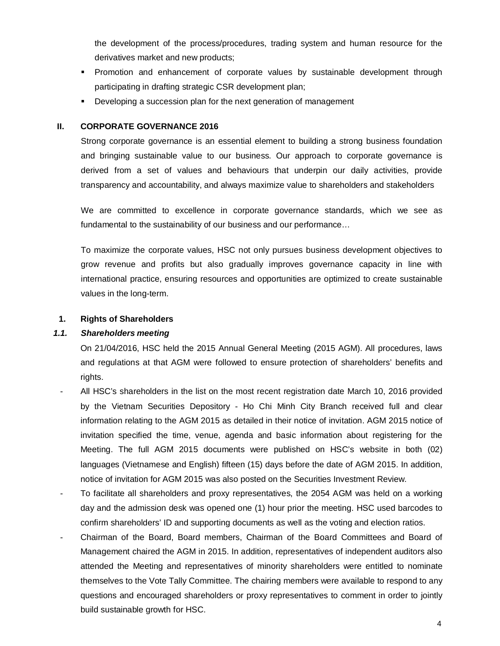the development of the process/procedures, trading system and human resource for the derivatives market and new products;

- Promotion and enhancement of corporate values by sustainable development through participating in drafting strategic CSR development plan;
- Developing a succession plan for the next generation of management

## **II. CORPORATE GOVERNANCE 2016**

Strong corporate governance is an essential element to building a strong business foundation and bringing sustainable value to our business. Our approach to corporate governance is derived from a set of values and behaviours that underpin our daily activities, provide transparency and accountability, and always maximize value to shareholders and stakeholders

We are committed to excellence in corporate governance standards, which we see as fundamental to the sustainability of our business and our performance…

To maximize the corporate values, HSC not only pursues business development objectives to grow revenue and profits but also gradually improves governance capacity in line with international practice, ensuring resources and opportunities are optimized to create sustainable values in the long-term.

## **1. Rights of Shareholders**

## *1.1. Shareholders meeting*

On 21/04/2016, HSC held the 2015 Annual General Meeting (2015 AGM). All procedures, laws and regulations at that AGM were followed to ensure protection of shareholders' benefits and rights.

- All HSC's shareholders in the list on the most recent registration date March 10, 2016 provided by the Vietnam Securities Depository - Ho Chi Minh City Branch received full and clear information relating to the AGM 2015 as detailed in their notice of invitation. AGM 2015 notice of invitation specified the time, venue, agenda and basic information about registering for the Meeting. The full AGM 2015 documents were published on HSC's website in both (02) languages (Vietnamese and English) fifteen (15) days before the date of AGM 2015. In addition, notice of invitation for AGM 2015 was also posted on the Securities Investment Review.
- To facilitate all shareholders and proxy representatives, the 2054 AGM was held on a working day and the admission desk was opened one (1) hour prior the meeting. HSC used barcodes to confirm shareholders' ID and supporting documents as well as the voting and election ratios.
- Chairman of the Board, Board members, Chairman of the Board Committees and Board of Management chaired the AGM in 2015. In addition, representatives of independent auditors also attended the Meeting and representatives of minority shareholders were entitled to nominate themselves to the Vote Tally Committee. The chairing members were available to respond to any questions and encouraged shareholders or proxy representatives to comment in order to jointly build sustainable growth for HSC.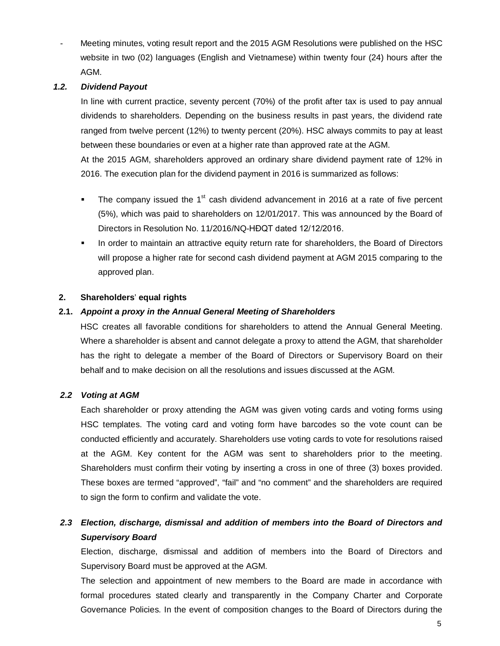Meeting minutes, voting result report and the 2015 AGM Resolutions were published on the HSC website in two (02) languages (English and Vietnamese) within twenty four (24) hours after the AGM.

## *1.2. Dividend Payout*

In line with current practice, seventy percent (70%) of the profit after tax is used to pay annual dividends to shareholders. Depending on the business results in past years, the dividend rate ranged from twelve percent (12%) to twenty percent (20%). HSC always commits to pay at least between these boundaries or even at a higher rate than approved rate at the AGM.

At the 2015 AGM, shareholders approved an ordinary share dividend payment rate of 12% in 2016. The execution plan for the dividend payment in 2016 is summarized as follows:

- The company issued the  $1<sup>st</sup>$  cash dividend advancement in 2016 at a rate of five percent (5%), which was paid to shareholders on 12/01/2017. This was announced by the Board of Directors in Resolution No. 11/2016/NQ-HĐQT dated 12/12/2016.
- **In order to maintain an attractive equity return rate for shareholders, the Board of Directors** will propose a higher rate for second cash dividend payment at AGM 2015 comparing to the approved plan.

#### **2. Shareholders**' **equal rights**

## **2.1.** *Appoint a proxy in the Annual General Meeting of Shareholders*

HSC creates all favorable conditions for shareholders to attend the Annual General Meeting. Where a shareholder is absent and cannot delegate a proxy to attend the AGM, that shareholder has the right to delegate a member of the Board of Directors or Supervisory Board on their behalf and to make decision on all the resolutions and issues discussed at the AGM.

## *2.2 Voting at AGM*

Each shareholder or proxy attending the AGM was given voting cards and voting forms using HSC templates. The voting card and voting form have barcodes so the vote count can be conducted efficiently and accurately. Shareholders use voting cards to vote for resolutions raised at the AGM. Key content for the AGM was sent to shareholders prior to the meeting. Shareholders must confirm their voting by inserting a cross in one of three (3) boxes provided. These boxes are termed "approved", "fail" and "no comment" and the shareholders are required to sign the form to confirm and validate the vote.

# *2.3 Election, discharge, dismissal and addition of members into the Board of Directors and Supervisory Board*

Election, discharge, dismissal and addition of members into the Board of Directors and Supervisory Board must be approved at the AGM.

The selection and appointment of new members to the Board are made in accordance with formal procedures stated clearly and transparently in the Company Charter and Corporate Governance Policies. In the event of composition changes to the Board of Directors during the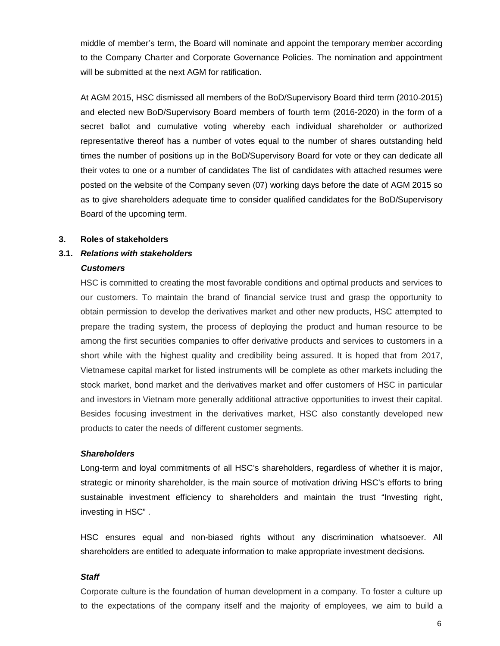middle of member's term, the Board will nominate and appoint the temporary member according to the Company Charter and Corporate Governance Policies. The nomination and appointment will be submitted at the next AGM for ratification.

At AGM 2015, HSC dismissed all members of the BoD/Supervisory Board third term (2010-2015) and elected new BoD/Supervisory Board members of fourth term (2016-2020) in the form of a secret ballot and cumulative voting whereby each individual shareholder or authorized representative thereof has a number of votes equal to the number of shares outstanding held times the number of positions up in the BoD/Supervisory Board for vote or they can dedicate all their votes to one or a number of candidates The list of candidates with attached resumes were posted on the website of the Company seven (07) working days before the date of AGM 2015 so as to give shareholders adequate time to consider qualified candidates for the BoD/Supervisory Board of the upcoming term.

#### **3. Roles of stakeholders**

#### **3.1.** *Relations with stakeholders*

#### *Customers*

HSC is committed to creating the most favorable conditions and optimal products and services to our customers. To maintain the brand of financial service trust and grasp the opportunity to obtain permission to develop the derivatives market and other new products, HSC attempted to prepare the trading system, the process of deploying the product and human resource to be among the first securities companies to offer derivative products and services to customers in a short while with the highest quality and credibility being assured. It is hoped that from 2017, Vietnamese capital market for listed instruments will be complete as other markets including the stock market, bond market and the derivatives market and offer customers of HSC in particular and investors in Vietnam more generally additional attractive opportunities to invest their capital. Besides focusing investment in the derivatives market, HSC also constantly developed new products to cater the needs of different customer segments.

#### *Shareholders*

Long-term and loyal commitments of all HSC's shareholders, regardless of whether it is major, strategic or minority shareholder, is the main source of motivation driving HSC's efforts to bring sustainable investment efficiency to shareholders and maintain the trust "Investing right, investing in HSC" .

HSC ensures equal and non-biased rights without any discrimination whatsoever. All shareholders are entitled to adequate information to make appropriate investment decisions.

#### *Staff*

Corporate culture is the foundation of human development in a company. To foster a culture up to the expectations of the company itself and the majority of employees, we aim to build a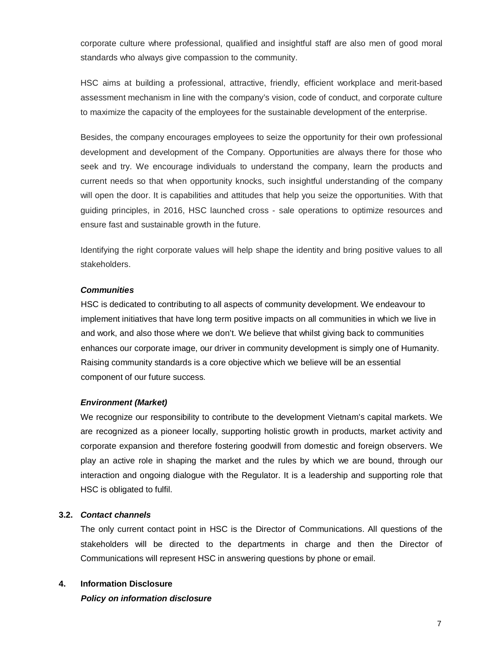corporate culture where professional, qualified and insightful staff are also men of good moral standards who always give compassion to the community.

HSC aims at building a professional, attractive, friendly, efficient workplace and merit-based assessment mechanism in line with the company's vision, code of conduct, and corporate culture to maximize the capacity of the employees for the sustainable development of the enterprise.

Besides, the company encourages employees to seize the opportunity for their own professional development and development of the Company. Opportunities are always there for those who seek and try. We encourage individuals to understand the company, learn the products and current needs so that when opportunity knocks, such insightful understanding of the company will open the door. It is capabilities and attitudes that help you seize the opportunities. With that guiding principles, in 2016, HSC launched cross - sale operations to optimize resources and ensure fast and sustainable growth in the future.

Identifying the right corporate values will help shape the identity and bring positive values to all stakeholders.

#### *Communities*

HSC is dedicated to contributing to all aspects of community development. We endeavour to implement initiatives that have long term positive impacts on all communities in which we live in and work, and also those where we don't. We believe that whilst giving back to communities enhances our corporate image, our driver in community development is simply one of Humanity. Raising community standards is a core objective which we believe will be an essential component of our future success.

#### *Environment (Market)*

We recognize our responsibility to contribute to the development Vietnam's capital markets. We are recognized as a pioneer locally, supporting holistic growth in products, market activity and corporate expansion and therefore fostering goodwill from domestic and foreign observers. We play an active role in shaping the market and the rules by which we are bound, through our interaction and ongoing dialogue with the Regulator. It is a leadership and supporting role that HSC is obligated to fulfil.

#### **3.2.** *Contact channels*

The only current contact point in HSC is the Director of Communications. All questions of the stakeholders will be directed to the departments in charge and then the Director of Communications will represent HSC in answering questions by phone or email.

#### **4. Information Disclosure**

*Policy on information disclosure*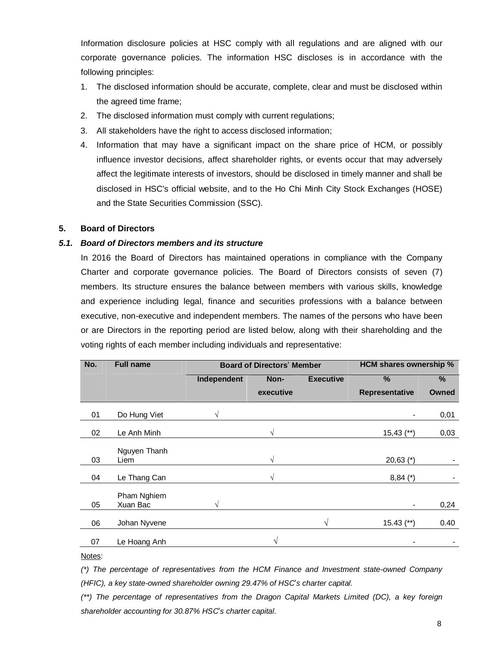Information disclosure policies at HSC comply with all regulations and are aligned with our corporate governance policies. The information HSC discloses is in accordance with the following principles:

- 1. The disclosed information should be accurate, complete, clear and must be disclosed within the agreed time frame;
- 2. The disclosed information must comply with current regulations;
- 3. All stakeholders have the right to access disclosed information;
- 4. Information that may have a significant impact on the share price of HCM, or possibly influence investor decisions, affect shareholder rights, or events occur that may adversely affect the legitimate interests of investors, should be disclosed in timely manner and shall be disclosed in HSC's official website, and to the Ho Chi Minh City Stock Exchanges (HOSE) and the State Securities Commission (SSC).

## **5. Board of Directors**

## *5.1. Board of Directors members and its structure*

In 2016 the Board of Directors has maintained operations in compliance with the Company Charter and corporate governance policies. The Board of Directors consists of seven (7) members. Its structure ensures the balance between members with various skills, knowledge and experience including legal, finance and securities professions with a balance between executive, non-executive and independent members. The names of the persons who have been or are Directors in the reporting period are listed below, along with their shareholding and the voting rights of each member including individuals and representative:

| No. | <b>Full name</b>        |             | <b>Board of Directors' Member</b> | <b>HCM shares ownership %</b> |                |       |
|-----|-------------------------|-------------|-----------------------------------|-------------------------------|----------------|-------|
|     |                         | Independent | Non-                              | <b>Executive</b>              | $\frac{0}{0}$  | $\%$  |
|     |                         |             | executive                         |                               | Representative | Owned |
| 01  | Do Hung Viet            | V           |                                   |                               |                | 0,01  |
| 02  | Le Anh Minh             |             | $\sqrt{}$                         |                               | $15,43$ (**)   | 0,03  |
| 03  | Nguyen Thanh<br>Liem    |             | $\sqrt{ }$                        |                               | $20,63$ (*)    |       |
| 04  | Le Thang Can            |             | $\sqrt{}$                         |                               | $8,84 (*)$     |       |
| 05  | Pham Nghiem<br>Xuan Bac | V           |                                   |                               |                | 0,24  |
| 06  | Johan Nyvene            |             |                                   | V                             | $15.43$ (**)   | 0.40  |
| 07  | Le Hoang Anh            |             | V                                 |                               |                |       |

#### Notes:

*(\*) The percentage of representatives from the HCM Finance and Investment state-owned Company (HFIC), a key state-owned shareholder owning 29.47% of HSC*'*s charter capital.*

*(\*\*) The percentage of representatives from the Dragon Capital Markets Limited (DC), a key foreign shareholder accounting for 30.87% HSC*'*s charter capital.*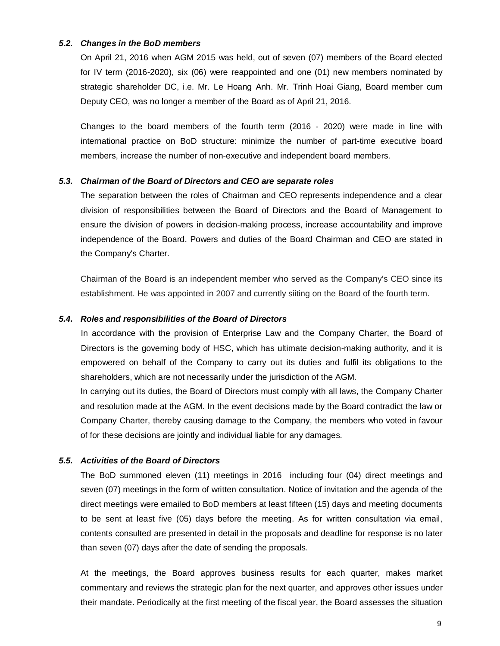#### *5.2. Changes in the BoD members*

On April 21, 2016 when AGM 2015 was held, out of seven (07) members of the Board elected for IV term (2016-2020), six (06) were reappointed and one (01) new members nominated by strategic shareholder DC, i.e. Mr. Le Hoang Anh. Mr. Trinh Hoai Giang, Board member cum Deputy CEO, was no longer a member of the Board as of April 21, 2016.

Changes to the board members of the fourth term (2016 - 2020) were made in line with international practice on BoD structure: minimize the number of part-time executive board members, increase the number of non-executive and independent board members.

#### *5.3. Chairman of the Board of Directors and CEO are separate roles*

The separation between the roles of Chairman and CEO represents independence and a clear division of responsibilities between the Board of Directors and the Board of Management to ensure the division of powers in decision-making process, increase accountability and improve independence of the Board. Powers and duties of the Board Chairman and CEO are stated in the Company's Charter.

Chairman of the Board is an independent member who served as the Company's CEO since its establishment. He was appointed in 2007 and currently siiting on the Board of the fourth term.

#### *5.4. Roles and responsibilities of the Board of Directors*

In accordance with the provision of Enterprise Law and the Company Charter, the Board of Directors is the governing body of HSC, which has ultimate decision-making authority, and it is empowered on behalf of the Company to carry out its duties and fulfil its obligations to the shareholders, which are not necessarily under the jurisdiction of the AGM.

In carrying out its duties, the Board of Directors must comply with all laws, the Company Charter and resolution made at the AGM. In the event decisions made by the Board contradict the law or Company Charter, thereby causing damage to the Company, the members who voted in favour of for these decisions are jointly and individual liable for any damages.

#### *5.5. Activities of the Board of Directors*

The BoD summoned eleven (11) meetings in 2016 including four (04) direct meetings and seven (07) meetings in the form of written consultation. Notice of invitation and the agenda of the direct meetings were emailed to BoD members at least fifteen (15) days and meeting documents to be sent at least five (05) days before the meeting. As for written consultation via email, contents consulted are presented in detail in the proposals and deadline for response is no later than seven (07) days after the date of sending the proposals.

At the meetings, the Board approves business results for each quarter, makes market commentary and reviews the strategic plan for the next quarter, and approves other issues under their mandate. Periodically at the first meeting of the fiscal year, the Board assesses the situation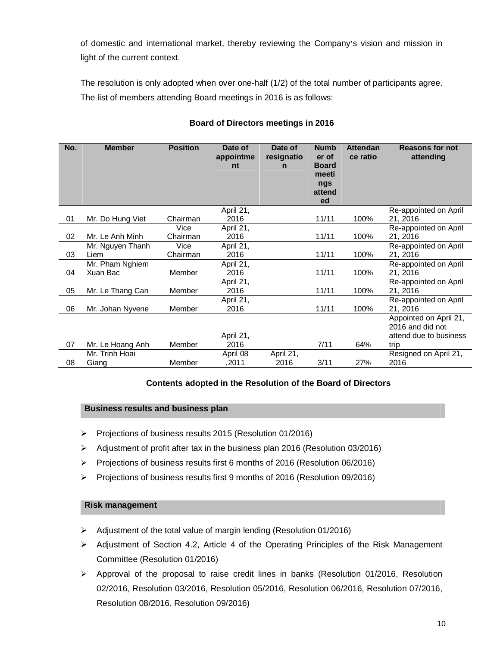of domestic and international market, thereby reviewing the Company's vision and mission in light of the current context.

The resolution is only adopted when over one-half (1/2) of the total number of participants agree. The list of members attending Board meetings in 2016 is as follows:

| No. | <b>Member</b>               | <b>Position</b>  | Date of<br>appointme<br>nt | Date of<br>resignatio<br>n | <b>Numb</b><br>er of<br><b>Board</b><br>meeti<br>ngs<br>attend<br>ed | <b>Attendan</b><br>ce ratio | <b>Reasons for not</b><br>attending                                          |
|-----|-----------------------------|------------------|----------------------------|----------------------------|----------------------------------------------------------------------|-----------------------------|------------------------------------------------------------------------------|
| 01  | Mr. Do Hung Viet            | Chairman         | April 21,<br>2016          |                            | 11/11                                                                | 100%                        | Re-appointed on April<br>21, 2016                                            |
| 02  | Mr. Le Anh Minh             | Vice<br>Chairman | April 21,<br>2016          |                            | 11/11                                                                | 100%                        | Re-appointed on April<br>21, 2016                                            |
| 03  | Mr. Nguyen Thanh<br>Liem    | Vice<br>Chairman | April 21,<br>2016          |                            | 11/11                                                                | 100%                        | Re-appointed on April<br>21, 2016                                            |
| 04  | Mr. Pham Nghiem<br>Xuan Bac | Member           | April 21,<br>2016          |                            | 11/11                                                                | 100%                        | Re-appointed on April<br>21, 2016                                            |
| 05  | Mr. Le Thang Can            | Member           | April 21,<br>2016          |                            | 11/11                                                                | 100%                        | Re-appointed on April<br>21, 2016                                            |
| 06  | Mr. Johan Nyvene            | Member           | April 21,<br>2016          |                            | 11/11                                                                | 100%                        | Re-appointed on April<br>21, 2016                                            |
| 07  | Mr. Le Hoang Anh            | Member           | April 21,<br>2016          |                            | 7/11                                                                 | 64%                         | Appointed on April 21,<br>2016 and did not<br>attend due to business<br>trip |
| 08  | Mr. Trinh Hoai<br>Giang     | Member           | April 08<br>,2011          | April 21,<br>2016          | 3/11                                                                 | 27%                         | Resigned on April 21,<br>2016                                                |

## **Board of Directors meetings in 2016**

## **Contents adopted in the Resolution of the Board of Directors**

## **Business results and business plan**

- Projections of business results 2015 (Resolution 01/2016)
- Adjustment of profit after tax in the business plan 2016 (Resolution 03/2016)
- Projections of business results first 6 months of 2016 (Resolution 06/2016)
- Projections of business results first 9 months of 2016 (Resolution 09/2016)

## **Risk management**

- $\triangleright$  Adjustment of the total value of margin lending (Resolution 01/2016)
- $\triangleright$  Adjustment of Section 4.2, Article 4 of the Operating Principles of the Risk Management Committee (Resolution 01/2016)
- $\triangleright$  Approval of the proposal to raise credit lines in banks (Resolution 01/2016, Resolution 02/2016, Resolution 03/2016, Resolution 05/2016, Resolution 06/2016, Resolution 07/2016, Resolution 08/2016, Resolution 09/2016)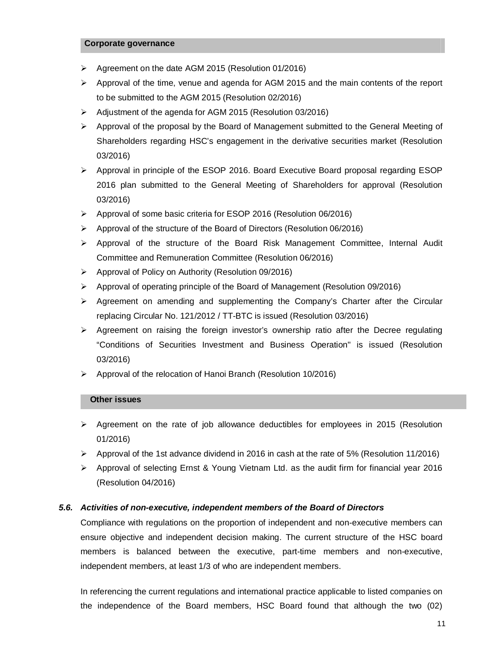#### **Corporate governance**

- $\triangleright$  Agreement on the date AGM 2015 (Resolution 01/2016)
- Approval of the time, venue and agenda for AGM 2015 and the main contents of the report to be submitted to the AGM 2015 (Resolution 02/2016)
- Adjustment of the agenda for AGM 2015 (Resolution 03/2016)
- $\triangleright$  Approval of the proposal by the Board of Management submitted to the General Meeting of Shareholders regarding HSC's engagement in the derivative securities market (Resolution 03/2016)
- Approval in principle of the ESOP 2016. Board Executive Board proposal regarding ESOP 2016 plan submitted to the General Meeting of Shareholders for approval (Resolution 03/2016)
- $\triangleright$  Approval of some basic criteria for ESOP 2016 (Resolution 06/2016)
- $\triangleright$  Approval of the structure of the Board of Directors (Resolution 06/2016)
- $\triangleright$  Approval of the structure of the Board Risk Management Committee, Internal Audit Committee and Remuneration Committee (Resolution 06/2016)
- $\triangleright$  Approval of Policy on Authority (Resolution 09/2016)
- Approval of operating principle of the Board of Management (Resolution 09/2016)
- $\triangleright$  Agreement on amending and supplementing the Company's Charter after the Circular replacing Circular No. 121/2012 / TT-BTC is issued (Resolution 03/2016)
- $\triangleright$  Agreement on raising the foreign investor's ownership ratio after the Decree regulating "Conditions of Securities Investment and Business Operation" is issued (Resolution 03/2016)
- Approval of the relocation of Hanoi Branch (Resolution 10/2016)

## **Other issues**

- $\triangleright$  Agreement on the rate of job allowance deductibles for employees in 2015 (Resolution 01/2016)
- $\triangleright$  Approval of the 1st advance dividend in 2016 in cash at the rate of 5% (Resolution 11/2016)
- $\triangleright$  Approval of selecting Ernst & Young Vietnam Ltd. as the audit firm for financial year 2016 (Resolution 04/2016)

## *5.6. Activities of non-executive, independent members of the Board of Directors*

Compliance with regulations on the proportion of independent and non-executive members can ensure objective and independent decision making. The current structure of the HSC board members is balanced between the executive, part-time members and non-executive, independent members, at least 1/3 of who are independent members.

In referencing the current regulations and international practice applicable to listed companies on the independence of the Board members, HSC Board found that although the two (02)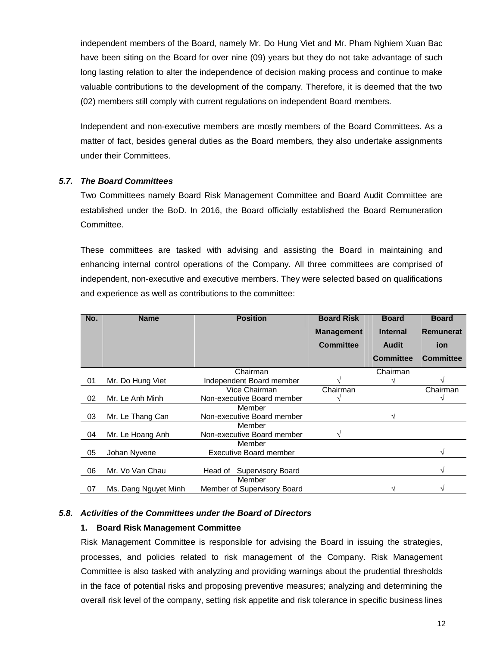independent members of the Board, namely Mr. Do Hung Viet and Mr. Pham Nghiem Xuan Bac have been siting on the Board for over nine (09) years but they do not take advantage of such long lasting relation to alter the independence of decision making process and continue to make valuable contributions to the development of the company. Therefore, it is deemed that the two (02) members still comply with current regulations on independent Board members.

Independent and non-executive members are mostly members of the Board Committees. As a matter of fact, besides general duties as the Board members, they also undertake assignments under their Committees.

## *5.7. The Board Committees*

Two Committees namely Board Risk Management Committee and Board Audit Committee are established under the BoD. In 2016, the Board officially established the Board Remuneration Committee.

These committees are tasked with advising and assisting the Board in maintaining and enhancing internal control operations of the Company. All three committees are comprised of independent, non-executive and executive members. They were selected based on qualifications and experience as well as contributions to the committee:

| No. | <b>Name</b>          | <b>Position</b>               | <b>Board Risk</b> | <b>Board</b>     | <b>Board</b>     |
|-----|----------------------|-------------------------------|-------------------|------------------|------------------|
|     |                      |                               | <b>Management</b> | <b>Internal</b>  | <b>Remunerat</b> |
|     |                      |                               | <b>Committee</b>  | <b>Audit</b>     | <b>ion</b>       |
|     |                      |                               |                   | <b>Committee</b> | <b>Committee</b> |
|     |                      | Chairman                      |                   | Chairman         |                  |
| 01  | Mr. Do Hung Viet     | Independent Board member      |                   |                  |                  |
|     |                      | Vice Chairman                 | Chairman          |                  | Chairman         |
| 02  | Mr. Le Anh Minh      | Non-executive Board member    |                   |                  |                  |
|     |                      | Member                        |                   |                  |                  |
| 03  | Mr. Le Thang Can     | Non-executive Board member    |                   |                  |                  |
|     |                      | Member                        |                   |                  |                  |
| 04  | Mr. Le Hoang Anh     | Non-executive Board member    |                   |                  |                  |
|     |                      | Member                        |                   |                  |                  |
| 05  | Johan Nyvene         | <b>Executive Board member</b> |                   |                  |                  |
|     |                      |                               |                   |                  |                  |
| 06  | Mr. Vo Van Chau      | Supervisory Board<br>Head of  |                   |                  |                  |
|     |                      | Member                        |                   |                  |                  |
| 07  | Ms. Dang Nguyet Minh | Member of Supervisory Board   |                   |                  |                  |

## *5.8. Activities of the Committees under the Board of Directors*

## **1. Board Risk Management Committee**

Risk Management Committee is responsible for advising the Board in issuing the strategies, processes, and policies related to risk management of the Company. Risk Management Committee is also tasked with analyzing and providing warnings about the prudential thresholds in the face of potential risks and proposing preventive measures; analyzing and determining the overall risk level of the company, setting risk appetite and risk tolerance in specific business lines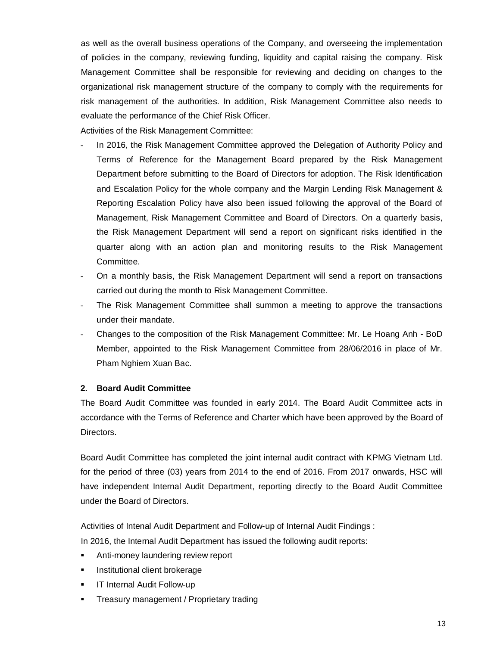as well as the overall business operations of the Company, and overseeing the implementation of policies in the company, reviewing funding, liquidity and capital raising the company. Risk Management Committee shall be responsible for reviewing and deciding on changes to the organizational risk management structure of the company to comply with the requirements for risk management of the authorities. In addition, Risk Management Committee also needs to evaluate the performance of the Chief Risk Officer.

Activities of the Risk Management Committee:

- In 2016, the Risk Management Committee approved the Delegation of Authority Policy and Terms of Reference for the Management Board prepared by the Risk Management Department before submitting to the Board of Directors for adoption. The Risk Identification and Escalation Policy for the whole company and the Margin Lending Risk Management & Reporting Escalation Policy have also been issued following the approval of the Board of Management, Risk Management Committee and Board of Directors. On a quarterly basis, the Risk Management Department will send a report on significant risks identified in the quarter along with an action plan and monitoring results to the Risk Management Committee.
- On a monthly basis, the Risk Management Department will send a report on transactions carried out during the month to Risk Management Committee.
- The Risk Management Committee shall summon a meeting to approve the transactions under their mandate.
- Changes to the composition of the Risk Management Committee: Mr. Le Hoang Anh BoD Member, appointed to the Risk Management Committee from 28/06/2016 in place of Mr. Pham Nghiem Xuan Bac.

## **2. Board Audit Committee**

The Board Audit Committee was founded in early 2014. The Board Audit Committee acts in accordance with the Terms of Reference and Charter which have been approved by the Board of Directors.

Board Audit Committee has completed the joint internal audit contract with KPMG Vietnam Ltd. for the period of three (03) years from 2014 to the end of 2016. From 2017 onwards, HSC will have independent Internal Audit Department, reporting directly to the Board Audit Committee under the Board of Directors.

Activities of Intenal Audit Department and Follow-up of Internal Audit Findings :

In 2016, the Internal Audit Department has issued the following audit reports:

- Anti-money laundering review report
- Institutional client brokerage
- **IF Internal Audit Follow-up**
- Treasury management / Proprietary trading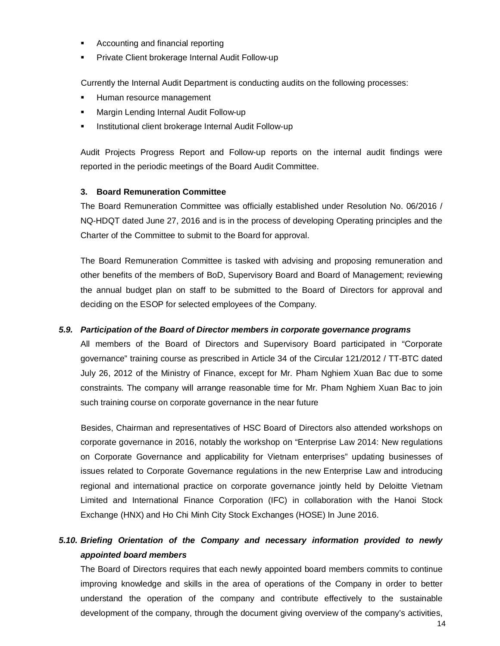- Accounting and financial reporting
- Private Client brokerage Internal Audit Follow-up

Currently the Internal Audit Department is conducting audits on the following processes:

- Human resource management
- Margin Lending Internal Audit Follow-up
- Institutional client brokerage Internal Audit Follow-up

Audit Projects Progress Report and Follow-up reports on the internal audit findings were reported in the periodic meetings of the Board Audit Committee.

## **3. Board Remuneration Committee**

The Board Remuneration Committee was officially established under Resolution No. 06/2016 / NQ-HDQT dated June 27, 2016 and is in the process of developing Operating principles and the Charter of the Committee to submit to the Board for approval.

The Board Remuneration Committee is tasked with advising and proposing remuneration and other benefits of the members of BoD, Supervisory Board and Board of Management; reviewing the annual budget plan on staff to be submitted to the Board of Directors for approval and deciding on the ESOP for selected employees of the Company.

## *5.9. Participation of the Board of Director members in corporate governance programs*

All members of the Board of Directors and Supervisory Board participated in "Corporate governance" training course as prescribed in Article 34 of the Circular 121/2012 / TT-BTC dated July 26, 2012 of the Ministry of Finance, except for Mr. Pham Nghiem Xuan Bac due to some constraints. The company will arrange reasonable time for Mr. Pham Nghiem Xuan Bac to join such training course on corporate governance in the near future

Besides, Chairman and representatives of HSC Board of Directors also attended workshops on corporate governance in 2016, notably the workshop on "Enterprise Law 2014: New regulations on Corporate Governance and applicability for Vietnam enterprises" updating businesses of issues related to Corporate Governance regulations in the new Enterprise Law and introducing regional and international practice on corporate governance jointly held by Deloitte Vietnam Limited and International Finance Corporation (IFC) in collaboration with the Hanoi Stock Exchange (HNX) and Ho Chi Minh City Stock Exchanges (HOSE) In June 2016.

# *5.10. Briefing Orientation of the Company and necessary information provided to newly appointed board members*

The Board of Directors requires that each newly appointed board members commits to continue improving knowledge and skills in the area of operations of the Company in order to better understand the operation of the company and contribute effectively to the sustainable development of the company, through the document giving overview of the company's activities,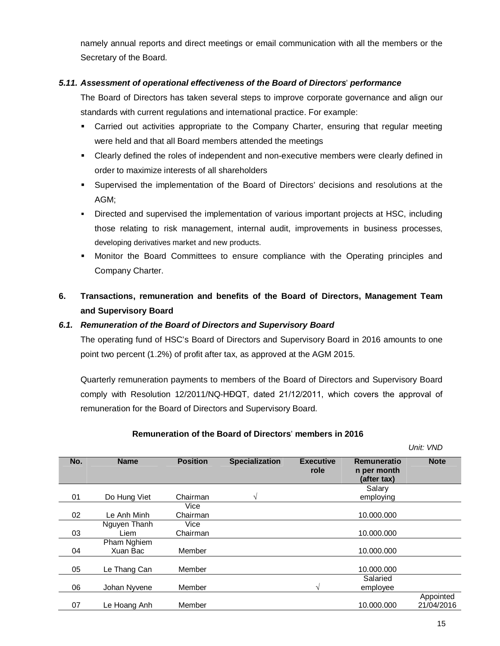namely annual reports and direct meetings or email communication with all the members or the Secretary of the Board.

## *5.11. Assessment of operational effectiveness of the Board of Directors*' *performance*

The Board of Directors has taken several steps to improve corporate governance and align our standards with current regulations and international practice. For example:

- Carried out activities appropriate to the Company Charter, ensuring that regular meeting were held and that all Board members attended the meetings
- Clearly defined the roles of independent and non-executive members were clearly defined in order to maximize interests of all shareholders
- Supervised the implementation of the Board of Directors' decisions and resolutions at the AGM;
- Directed and supervised the implementation of various important projects at HSC, including those relating to risk management, internal audit, improvements in business processes, developing derivatives market and new products.
- Monitor the Board Committees to ensure compliance with the Operating principles and Company Charter.

# **6. Transactions, remuneration and benefits of the Board of Directors, Management Team and Supervisory Board**

## *6.1. Remuneration of the Board of Directors and Supervisory Board*

The operating fund of HSC's Board of Directors and Supervisory Board in 2016 amounts to one point two percent (1.2%) of profit after tax, as approved at the AGM 2015.

Quarterly remuneration payments to members of the Board of Directors and Supervisory Board comply with Resolution 12/2011/NQ-HĐQT, dated 21/12/2011, which covers the approval of remuneration for the Board of Directors and Supervisory Board.

## **Remuneration of the Board of Directors**' **members in 2016**

*Unit: VND* **No. Name Position Specialization Executive role Remuneratio n per month (after tax) Note** 01 Do Hung Viet Chairman √ Salary employing 02 Le Anh Minh **Vice** Chairman 10.000.000 03 Nguyen Thanh Liem Vice Chairman 10.000.000 04 Pham Nghiem<br>Xuan Bac Member 10.000.000 05 Le Thang Can Member 10.000.000 10.000.000 06 Johan Nyvene Member  $\sqrt{2}$ Salaried employee 07 Le Hoang Anh Member 10.000.000 10.000.000 Appointed 21/04/2016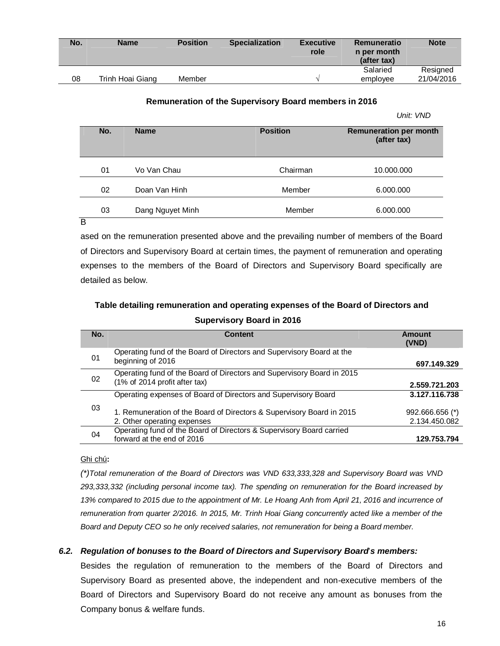| No. | <b>Name</b>      | <b>Position</b> | <b>Specialization</b> | <b>Executive</b><br>role | Remuneratio<br>n per month<br>(after tax) | <b>Note</b> |
|-----|------------------|-----------------|-----------------------|--------------------------|-------------------------------------------|-------------|
|     |                  |                 |                       |                          | Salaried                                  | Resigned    |
| 08  | Trinh Hoai Giang | Member          |                       |                          | employee                                  | 21/04/2016  |

#### **Remuneration of the Supervisory Board members in 2016**

*Unit: VND*

| No. | <b>Name</b>      | <b>Position</b> | <b>Remuneration per month</b><br>(after tax) |  |
|-----|------------------|-----------------|----------------------------------------------|--|
| 01  | Vo Van Chau      | Chairman        | 10.000.000                                   |  |
| 02  | Doan Van Hinh    | Member          | 6.000.000                                    |  |
| 03  | Dang Nguyet Minh | Member          | 6.000.000                                    |  |

B

ased on the remuneration presented above and the prevailing number of members of the Board of Directors and Supervisory Board at certain times, the payment of remuneration and operating expenses to the members of the Board of Directors and Supervisory Board specifically are detailed as below.

## **Table detailing remuneration and operating expenses of the Board of Directors and Supervisory Board in 2016**

| No. | Content                                                                                                 | Amount<br>(VND)                  |
|-----|---------------------------------------------------------------------------------------------------------|----------------------------------|
| 01  | Operating fund of the Board of Directors and Supervisory Board at the<br>beginning of 2016              | 697.149.329                      |
| 02  | Operating fund of the Board of Directors and Supervisory Board in 2015<br>(1% of 2014 profit after tax) | 2.559.721.203                    |
|     | Operating expenses of Board of Directors and Supervisory Board                                          | 3.127.116.738                    |
| 03  | 1. Remuneration of the Board of Directors & Supervisory Board in 2015<br>2. Other operating expenses    | 992.666.656 (*)<br>2.134.450.082 |
| 04  | Operating fund of the Board of Directors & Supervisory Board carried<br>forward at the end of 2016      | 129.753.794                      |

## Ghi chú**:**

*(\*)Total remuneration of the Board of Directors was VND 633,333,328 and Supervisory Board was VND 293,333,332 (including personal income tax). The spending on remuneration for the Board increased by 13% compared to 2015 due to the appointment of Mr. Le Hoang Anh from April 21, 2016 and incurrence of remuneration from quarter 2/2016. In 2015, Mr. Trinh Hoai Giang concurrently acted like a member of the Board and Deputy CEO so he only received salaries, not remuneration for being a Board member.*

## *6.2. Regulation of bonuses to the Board of Directors and Supervisory Board*'*s members:*

Besides the regulation of remuneration to the members of the Board of Directors and Supervisory Board as presented above, the independent and non-executive members of the Board of Directors and Supervisory Board do not receive any amount as bonuses from the Company bonus & welfare funds.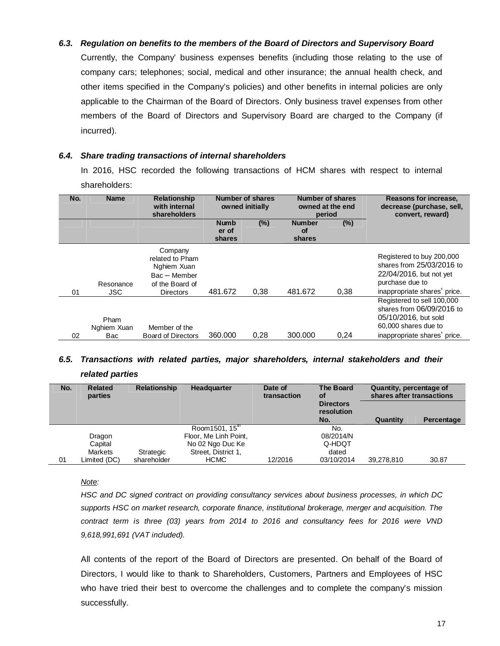## *6.3. Regulation on benefits to the members of the Board of Directors and Supervisory Board*

Currently, the Company' business expenses benefits (including those relating to the use of company cars; telephones; social, medical and other insurance; the annual health check, and other items specified in the Company's policies) and other benefits in internal policies are only applicable to the Chairman of the Board of Directors. Only business travel expenses from other members of the Board of Directors and Supervisory Board are charged to the Company (if incurred).

## *6.4. Share trading transactions of internal shareholders*

In 2016, HSC recorded the following transactions of HCM shares with respect to internal shareholders:

| No. | <b>Name</b>                | <b>Relationship</b><br>with internal<br>shareholders                                        |                                | Number of shares<br>owned initially |                                      | Number of shares<br>owned at the end<br>period | Reasons for increase,<br>decrease (purchase, sell,<br>convert, reward)                                                                  |
|-----|----------------------------|---------------------------------------------------------------------------------------------|--------------------------------|-------------------------------------|--------------------------------------|------------------------------------------------|-----------------------------------------------------------------------------------------------------------------------------------------|
|     |                            |                                                                                             | <b>Numb</b><br>er of<br>shares | $(\%)$                              | <b>Number</b><br><b>of</b><br>shares | $(\%)$                                         |                                                                                                                                         |
| 01  | Resonance<br><b>JSC</b>    | Company<br>related to Pham<br>Nghiem Xuan<br>$Bac - Member$<br>of the Board of<br>Directors | 481.672                        | 0.38                                | 481.672                              | 0.38                                           | Registered to buy 200,000<br>shares from 25/03/2016 to<br>22/04/2016, but not yet<br>purchase due to<br>inappropriate shares' price.    |
| 02  | Pham<br>Nghiem Xuan<br>Bac | Member of the<br><b>Board of Directors</b>                                                  | 360,000                        | 0,28                                | 300.000                              | 0.24                                           | Registered to sell 100,000<br>shares from 06/09/2016 to<br>05/10/2016, but sold<br>60,000 shares due to<br>inappropriate shares' price. |

## *6.5. Transactions with related parties, major shareholders, internal stakeholders and their related parties*

| No. | <b>Relationship</b><br><b>Related</b><br>parties |             | Headquarter            | Date of<br>transaction | <b>The Board</b><br>οf         | Quantity, percentage of<br>shares after transactions |            |
|-----|--------------------------------------------------|-------------|------------------------|------------------------|--------------------------------|------------------------------------------------------|------------|
|     |                                                  |             |                        |                        | <b>Directors</b><br>resolution |                                                      |            |
|     |                                                  |             |                        |                        | No.                            | Quantity                                             | Percentage |
|     |                                                  |             | Room1501, $15^{\rm m}$ |                        | No.                            |                                                      |            |
|     | Dragon                                           |             | Floor, Me Linh Point,  |                        | 08/2014/N                      |                                                      |            |
|     | Capital                                          |             | No 02 Ngo Duc Ke       |                        | Q-HDQT                         |                                                      |            |
|     | Markets                                          | Strategic   | Street, District 1,    |                        | dated                          |                                                      |            |
| 01  | Limited (DC)                                     | shareholder | <b>HCMC</b>            | 12/2016                | 03/10/2014                     | 39,278,810                                           | 30.87      |

#### *Note:*

*HSC and DC signed contract on providing consultancy services about business processes, in which DC supports HSC on market research, corporate finance, institutional brokerage, merger and acquisition. The contract term is three (03) years from 2014 to 2016 and consultancy fees for 2016 were VND 9,618,991,691 (VAT included).*

All contents of the report of the Board of Directors are presented. On behalf of the Board of Directors, I would like to thank to Shareholders, Customers, Partners and Employees of HSC who have tried their best to overcome the challenges and to complete the company's mission successfully.